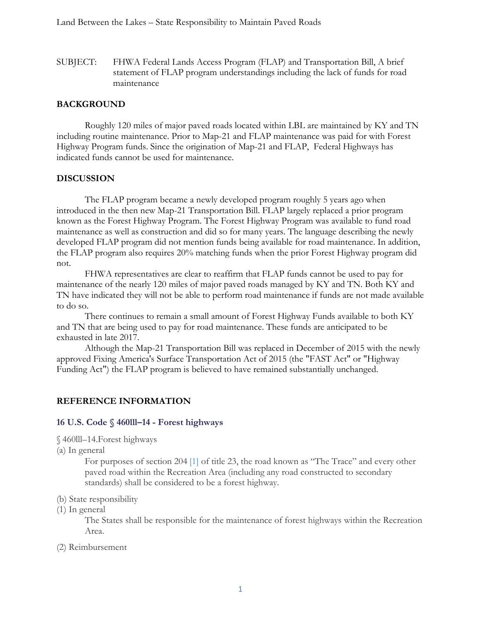SUBJECT: FHWA Federal Lands Access Program (FLAP) and Transportation Bill, A brief statement of FLAP program understandings including the lack of funds for road maintenance

## **BACKGROUND**

Roughly 120 miles of major paved roads located within LBL are maintained by KY and TN including routine maintenance. Prior to Map-21 and FLAP maintenance was paid for with Forest Highway Program funds. Since the origination of Map-21 and FLAP, Federal Highways has indicated funds cannot be used for maintenance.

### **DISCUSSION**

The FLAP program became a newly developed program roughly 5 years ago when introduced in the then new Map-21 Transportation Bill. FLAP largely replaced a prior program known as the Forest Highway Program. The Forest Highway Program was available to fund road maintenance as well as construction and did so for many years. The language describing the newly developed FLAP program did not mention funds being available for road maintenance. In addition, the FLAP program also requires 20% matching funds when the prior Forest Highway program did not.

FHWA representatives are clear to reaffirm that FLAP funds cannot be used to pay for maintenance of the nearly 120 miles of major paved roads managed by KY and TN. Both KY and TN have indicated they will not be able to perform road maintenance if funds are not made available to do so.

There continues to remain a small amount of Forest Highway Funds available to both KY and TN that are being used to pay for road maintenance. These funds are anticipated to be exhausted in late 2017.

Although the Map-21 Transportation Bill was replaced in December of 2015 with the newly approved Fixing America's Surface Transportation Act of 2015 (the "FAST Act" or "Highway Funding Act") the FLAP program is believed to have remained substantially unchanged.

## **REFERENCE INFORMATION**

#### **16 U.S. Code § 460lll–14 - Forest highways**

- § 460lll–14.Forest highways
- (a) In general

For purposes of section 204 [\[1\]](https://www.law.cornell.edu/uscode/text/16/460lll%E2%80%9314#fn002341) of title 23, the road known as "The Trace" and every other paved road within the Recreation Area (including any road constructed to secondary standards) shall be considered to be a forest highway.

- (b) State responsibility
- (1) In general

The States shall be responsible for the maintenance of forest highways within the Recreation Area.

(2) Reimbursement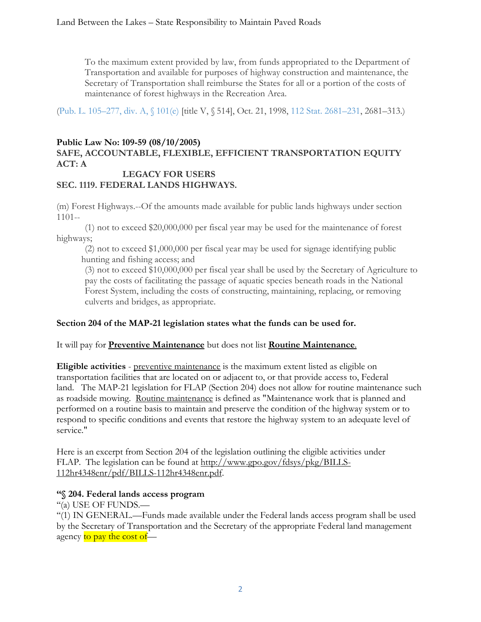To the maximum extent provided by law, from funds appropriated to the Department of Transportation and available for purposes of highway construction and maintenance, the Secretary of Transportation shall reimburse the States for all or a portion of the costs of maintenance of forest highways in the Recreation Area.

[\(Pub. L. 105–277, div. A, §](http://www.gpo.gov/fdsys/pkg/PLAW-105publ277/html/PLAW-105publ277.htm) 101(e) [title V, § 514], Oct. 21, 1998, [112 Stat. 2681–231,](http://uscode.house.gov/statviewer.htm?volume=112&page=2681-231) 2681–313.)

# **Public Law No: 109-59 (08/10/2005) SAFE, ACCOUNTABLE, FLEXIBLE, EFFICIENT TRANSPORTATION EQUITY ACT: A**

### **LEGACY FOR USERS SEC. 1119. FEDERAL LANDS HIGHWAYS.**

(m) Forest Highways.--Of the amounts made available for public lands highways under section 1101--

 (1) not to exceed \$20,000,000 per fiscal year may be used for the maintenance of forest highways;

 (2) not to exceed \$1,000,000 per fiscal year may be used for signage identifying public hunting and fishing access; and

 (3) not to exceed \$10,000,000 per fiscal year shall be used by the Secretary of Agriculture to pay the costs of facilitating the passage of aquatic species beneath roads in the National Forest System, including the costs of constructing, maintaining, replacing, or removing culverts and bridges, as appropriate.

## **Section 204 of the MAP-21 legislation states what the funds can be used for.**

It will pay for **Preventive Maintenance** but does not list **Routine Maintenance**.

**Eligible activities** - preventive maintenance is the maximum extent listed as eligible on transportation facilities that are located on or adjacent to, or that provide access to, Federal land. The MAP-21 legislation for FLAP (Section 204) does not allow for routine maintenance such as roadside mowing. Routine maintenance is defined as "Maintenance work that is planned and performed on a routine basis to maintain and preserve the condition of the highway system or to respond to specific conditions and events that restore the highway system to an adequate level of service."

Here is an excerpt from Section 204 of the legislation outlining the eligible activities under FLAP. The legislation can be found at [http://www.gpo.gov/fdsys/pkg/BILLS-](http://www.gpo.gov/fdsys/pkg/BILLS-112hr4348enr/pdf/BILLS-112hr4348enr.pdf)[112hr4348enr/pdf/BILLS-112hr4348enr.pdf.](http://www.gpo.gov/fdsys/pkg/BILLS-112hr4348enr/pdf/BILLS-112hr4348enr.pdf)

## **''§ 204. Federal lands access program**

''(a) USE OF FUNDS.—

''(1) IN GENERAL.—Funds made available under the Federal lands access program shall be used by the Secretary of Transportation and the Secretary of the appropriate Federal land management agency to pay the cost of